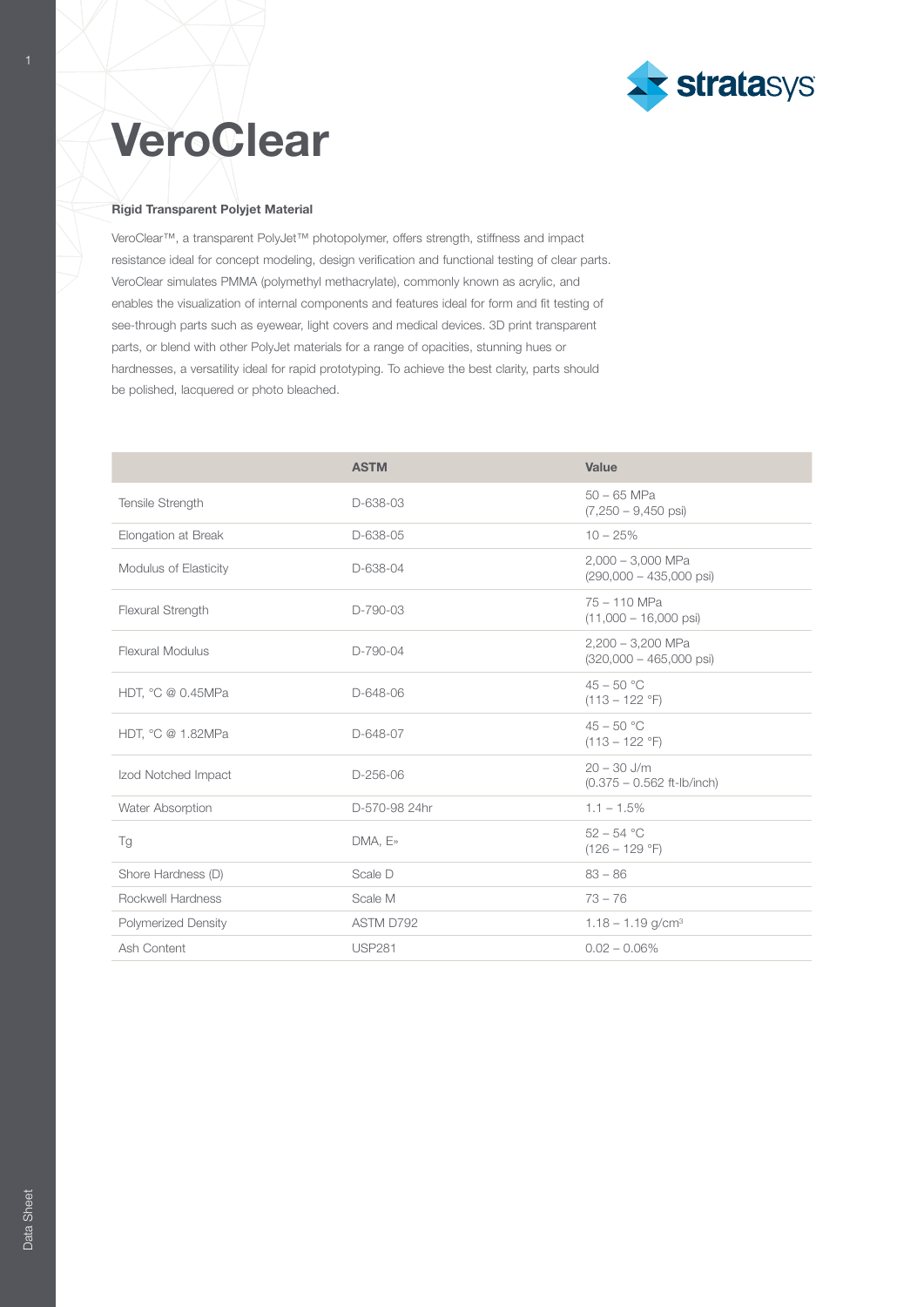

## **VeroClear**

1

## Rigid Transparent Polyjet Material

VeroClear™, a transparent PolyJet™ photopolymer, offers strength, stiffness and impact resistance ideal for concept modeling, design verification and functional testing of clear parts. VeroClear simulates PMMA (polymethyl methacrylate), commonly known as acrylic, and enables the visualization of internal components and features ideal for form and fit testing of see-through parts such as eyewear, light covers and medical devices. 3D print transparent parts, or blend with other PolyJet materials for a range of opacities, stunning hues or hardnesses, a versatility ideal for rapid prototyping. To achieve the best clarity, parts should be polished, lacquered or photo bleached.

|                            | <b>ASTM</b>   | Value                                                    |  |
|----------------------------|---------------|----------------------------------------------------------|--|
| Tensile Strength           | D-638-03      | $50 - 65$ MPa<br>$(7,250 - 9,450 \text{ psi})$           |  |
| Elongation at Break        | D-638-05      | $10 - 25%$                                               |  |
| Modulus of Elasticity      | D-638-04      | $2,000 - 3,000$ MPa<br>$(290,000 - 435,000 \text{ psi})$ |  |
| Flexural Strength          | D-790-03      | $75 - 110$ MPa<br>$(11,000 - 16,000 \text{ psi})$        |  |
| Flexural Modulus           | D-790-04      | $2.200 - 3.200$ MPa<br>$(320,000 - 465,000 \text{ psi})$ |  |
| HDT, °C @ 0.45MPa          | D-648-06      | $45 - 50 °C$<br>$(113 - 122 \degree F)$                  |  |
| HDT, °C @ 1.82MPa          | D-648-07      | $45 - 50 °C$<br>$(113 - 122 \text{ }^\circ F)$           |  |
| Izod Notched Impact        | D-256-06      | $20 - 30$ J/m<br>$(0.375 - 0.562$ ft-lb/inch)            |  |
| Water Absorption           | D-570-98 24hr | $1.1 - 1.5\%$                                            |  |
| Tg                         | $DMA, E*$     | $52 - 54 °C$<br>$(126 - 129 \degree F)$                  |  |
| Shore Hardness (D)         | Scale D       | $83 - 86$                                                |  |
| Rockwell Hardness          | Scale M       | $73 - 76$                                                |  |
| <b>Polymerized Density</b> | ASTM D792     | $1.18 - 1.19$ g/cm <sup>3</sup>                          |  |
| Ash Content                | <b>USP281</b> | $0.02 - 0.06\%$                                          |  |